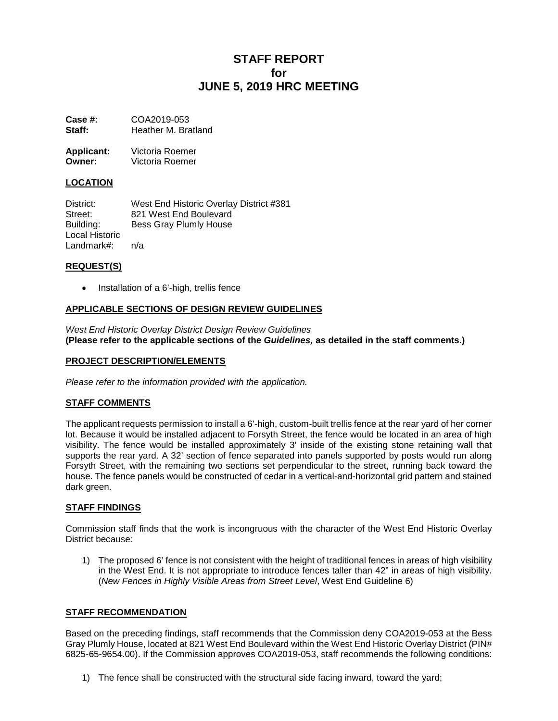# **STAFF REPORT for JUNE 5, 2019 HRC MEETING**

**Case #: COA2019-053**<br>**Staff: Heather M. Bra Staff:** Heather M. Bratland

**Applicant:** Victoria Roemer<br> **Owner:** Victoria Roemer **Owner:** Victoria Roemer

## **LOCATION**

District: West End Historic Overlay District #381 Street: 821 West End Boulevard<br>Building: Bess Gray Plumly House Bess Gray Plumly House Local Historic Landmark#: n/a

#### **REQUEST(S)**

• Installation of a 6'-high, trellis fence

## **APPLICABLE SECTIONS OF DESIGN REVIEW GUIDELINES**

*West End Historic Overlay District Design Review Guidelines* **(Please refer to the applicable sections of the** *Guidelines,* **as detailed in the staff comments.)**

#### **PROJECT DESCRIPTION/ELEMENTS**

*Please refer to the information provided with the application.*

# **STAFF COMMENTS**

The applicant requests permission to install a 6'-high, custom-built trellis fence at the rear yard of her corner lot. Because it would be installed adjacent to Forsyth Street, the fence would be located in an area of high visibility. The fence would be installed approximately 3' inside of the existing stone retaining wall that supports the rear yard. A 32' section of fence separated into panels supported by posts would run along Forsyth Street, with the remaining two sections set perpendicular to the street, running back toward the house. The fence panels would be constructed of cedar in a vertical-and-horizontal grid pattern and stained dark green.

#### **STAFF FINDINGS**

Commission staff finds that the work is incongruous with the character of the West End Historic Overlay District because:

1) The proposed 6' fence is not consistent with the height of traditional fences in areas of high visibility in the West End. It is not appropriate to introduce fences taller than 42" in areas of high visibility. (*New Fences in Highly Visible Areas from Street Level*, West End Guideline 6)

# **STAFF RECOMMENDATION**

Based on the preceding findings, staff recommends that the Commission deny COA2019-053 at the Bess Gray Plumly House, located at 821 West End Boulevard within the West End Historic Overlay District (PIN# 6825-65-9654.00). If the Commission approves COA2019-053, staff recommends the following conditions:

1) The fence shall be constructed with the structural side facing inward, toward the yard;